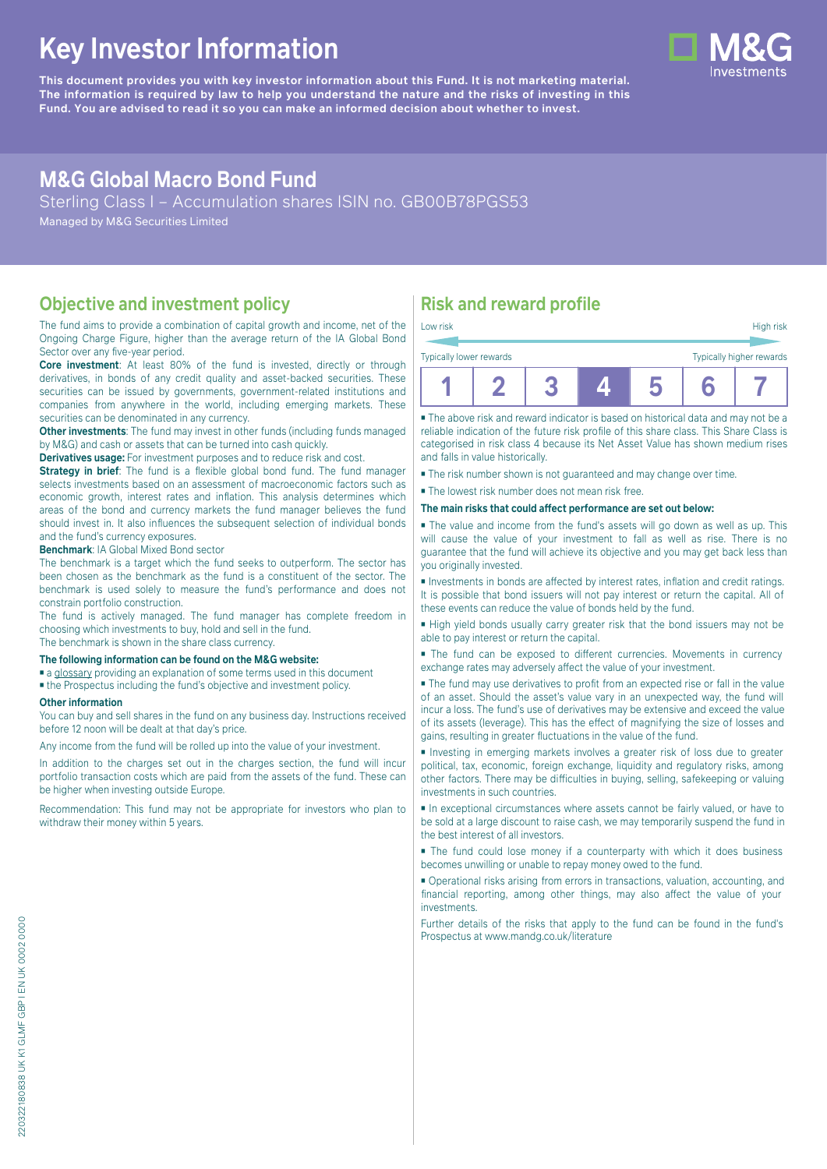# **Key Investor Information**

**This document provides you with key investor information about this Fund. It is not marketing material.** The information is required by law to help you understand the nature and the risks of investing in this **Fund. You are advised to read it so you can make an informed decision about whether to invest.**

## **M&G Global Macro Bond Fund**

Sterling Class I – Accumulation shares ISIN no. GB00B78PGS53

Managed by M&G Securities Limited

### **Objective and investment policy**

The fund aims to provide a combination of capital growth and income, net of the Ongoing Charge Figure, higher than the average return of the IA Global Bond Sector over any five-year period.

**Core investment**: At least 80% of the fund is invested, directly or through derivatives, in bonds of any credit quality and asset-backed securities. These securities can be issued by governments, government-related institutions and companies from anywhere in the world, including emerging markets. These securities can be denominated in any currency.

**Other investments**: The fund may invest in other funds (including funds managed by M&G) and cash or assets that can be turned into cash quickly.

**Derivatives usage:** For investment purposes and to reduce risk and cost.

**Strategy in brief**: The fund is a flexible global bond fund. The fund manager selects investments based on an assessment of macroeconomic factors such as economic growth, interest rates and inflation. This analysis determines which areas of the bond and currency markets the fund manager believes the fund should invest in. It also influences the subsequent selection of individual bonds and the fund's currency exposures.

#### **Benchmark**: IA Global Mixed Bond sector

The benchmark is a target which the fund seeks to outperform. The sector has been chosen as the benchmark as the fund is a constituent of the sector. The benchmark is used solely to measure the fund's performance and does not constrain portfolio construction.

The fund is actively managed. The fund manager has complete freedom in choosing which investments to buy, hold and sell in the fund.

#### The benchmark is shown in the share class currency. **The following information can be found on the M&G website:**

■ [a glossary](https://docs.mandg.com/docs/glossary-master-en.pdf) providing an explanation of some terms used in this document

■ the Prospectus including the fund's objective and investment policy.

#### **Other information**

You can buy and sell shares in the fund on any business day. Instructions received before 12 noon will be dealt at that day's price.

Any income from the fund will be rolled up into the value of your investment.

In addition to the charges set out in the charges section, the fund will incur portfolio transaction costs which are paid from the assets of the fund. These can be higher when investing outside Europe.

Recommendation: This fund may not be appropriate for investors who plan to withdraw their money within 5 years.

### **Risk and reward profile**

| Low risk |                         |  |  | High risk                |
|----------|-------------------------|--|--|--------------------------|
|          | Typically lower rewards |  |  | Typically higher rewards |
|          |                         |  |  |                          |

■ The above risk and reward indicator is based on historical data and may not be a reliable indication of the future risk profile of this share class. This Share Class is categorised in risk class 4 because its Net Asset Value has shown medium rises and falls in value historically.

■ The risk number shown is not guaranteed and may change over time.

■ The lowest risk number does not mean risk free.

#### **The main risks that could affect performance are set out below:**

■ The value and income from the fund's assets will go down as well as up. This will cause the value of your investment to fall as well as rise. There is no guarantee that the fund will achieve its objective and you may get back less than you originally invested.

■ Investments in bonds are affected by interest rates, inflation and credit ratings. It is possible that bond issuers will not pay interest or return the capital. All of these events can reduce the value of bonds held by the fund.

■ High yield bonds usually carry greater risk that the bond issuers may not be able to pay interest or return the capital.

■ The fund can be exposed to different currencies. Movements in currency exchange rates may adversely affect the value of your investment.

■ The fund may use derivatives to profit from an expected rise or fall in the value of an asset. Should the asset's value vary in an unexpected way, the fund will incur a loss. The fund's use of derivatives may be extensive and exceed the value of its assets (leverage). This has the effect of magnifying the size of losses and gains, resulting in greater fluctuations in the value of the fund.

■ Investing in emerging markets involves a greater risk of loss due to greater political, tax, economic, foreign exchange, liquidity and regulatory risks, among other factors. There may be difficulties in buying, selling, safekeeping or valuing investments in such countries.

■ In exceptional circumstances where assets cannot be fairly valued, or have to be sold at a large discount to raise cash, we may temporarily suspend the fund in the best interest of all investors.

■ The fund could lose money if a counterparty with which it does business becomes unwilling or unable to repay money owed to the fund.

■ Operational risks arising from errors in transactions, valuation, accounting, and financial reporting, among other things, may also affect the value of your investments.

Further details of the risks that apply to the fund can be found in the fund's Prospectus at [www.mandg.co.uk/literature](http://www.mandg.co.uk/literature)